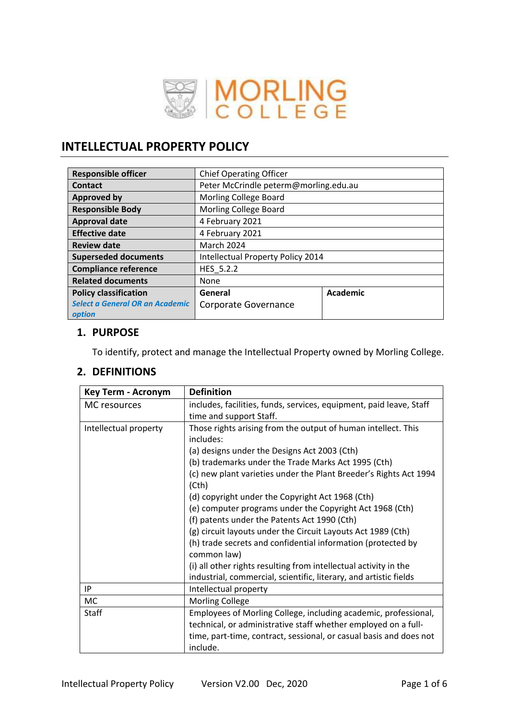

# **INTELLECTUAL PROPERTY POLICY**

| <b>Responsible officer</b>                | <b>Chief Operating Officer</b>        |          |  |
|-------------------------------------------|---------------------------------------|----------|--|
| <b>Contact</b>                            | Peter McCrindle peterm@morling.edu.au |          |  |
| <b>Approved by</b>                        | Morling College Board                 |          |  |
| <b>Responsible Body</b>                   | <b>Morling College Board</b>          |          |  |
| <b>Approval date</b>                      | 4 February 2021                       |          |  |
| <b>Effective date</b>                     | 4 February 2021                       |          |  |
| <b>Review date</b>                        | <b>March 2024</b>                     |          |  |
| <b>Superseded documents</b>               | Intellectual Property Policy 2014     |          |  |
| <b>Compliance reference</b>               | HES 5.2.2                             |          |  |
| <b>Related documents</b>                  | None                                  |          |  |
| <b>Policy classification</b>              | General                               | Academic |  |
| Select a General OR an Academic<br>option | Corporate Governance                  |          |  |

## **1. PURPOSE**

To identify, protect and manage the Intellectual Property owned by Morling College.

# **2. DEFINITIONS**

| <b>Key Term - Acronym</b> | <b>Definition</b>                                                   |  |  |
|---------------------------|---------------------------------------------------------------------|--|--|
| MC resources              | includes, facilities, funds, services, equipment, paid leave, Staff |  |  |
|                           | time and support Staff.                                             |  |  |
| Intellectual property     | Those rights arising from the output of human intellect. This       |  |  |
|                           | includes:                                                           |  |  |
|                           | (a) designs under the Designs Act 2003 (Cth)                        |  |  |
|                           | (b) trademarks under the Trade Marks Act 1995 (Cth)                 |  |  |
|                           | (c) new plant varieties under the Plant Breeder's Rights Act 1994   |  |  |
|                           | (Cth)                                                               |  |  |
|                           | (d) copyright under the Copyright Act 1968 (Cth)                    |  |  |
|                           | (e) computer programs under the Copyright Act 1968 (Cth)            |  |  |
|                           | (f) patents under the Patents Act 1990 (Cth)                        |  |  |
|                           | (g) circuit layouts under the Circuit Layouts Act 1989 (Cth)        |  |  |
|                           | (h) trade secrets and confidential information (protected by        |  |  |
|                           | common law)                                                         |  |  |
|                           | (i) all other rights resulting from intellectual activity in the    |  |  |
|                           | industrial, commercial, scientific, literary, and artistic fields   |  |  |
| IP                        | Intellectual property                                               |  |  |
| МC                        | <b>Morling College</b>                                              |  |  |
| <b>Staff</b>              | Employees of Morling College, including academic, professional,     |  |  |
|                           | technical, or administrative staff whether employed on a full-      |  |  |
|                           | time, part-time, contract, sessional, or casual basis and does not  |  |  |
|                           | include.                                                            |  |  |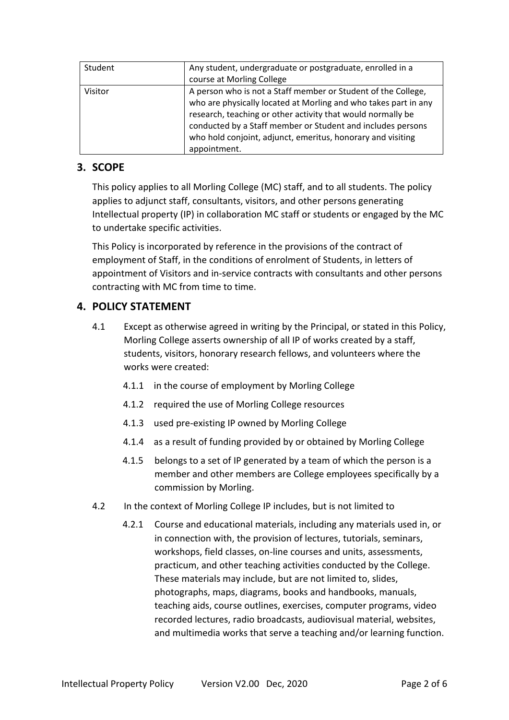| Student | Any student, undergraduate or postgraduate, enrolled in a<br>course at Morling College                                                                                                                                                                                                                                                        |
|---------|-----------------------------------------------------------------------------------------------------------------------------------------------------------------------------------------------------------------------------------------------------------------------------------------------------------------------------------------------|
| Visitor | A person who is not a Staff member or Student of the College,<br>who are physically located at Morling and who takes part in any<br>research, teaching or other activity that would normally be<br>conducted by a Staff member or Student and includes persons<br>who hold conjoint, adjunct, emeritus, honorary and visiting<br>appointment. |

# **3. SCOPE**

This policy applies to all Morling College (MC) staff, and to all students. The policy applies to adjunct staff, consultants, visitors, and other persons generating Intellectual property (IP) in collaboration MC staff or students or engaged by the MC to undertake specific activities.

This Policy is incorporated by reference in the provisions of the contract of employment of Staff, in the conditions of enrolment of Students, in letters of appointment of Visitors and in-service contracts with consultants and other persons contracting with MC from time to time.

# **4. POLICY STATEMENT**

- 4.1 Except as otherwise agreed in writing by the Principal, or stated in this Policy, Morling College asserts ownership of all IP of works created by a staff, students, visitors, honorary research fellows, and volunteers where the works were created:
	- 4.1.1 in the course of employment by Morling College
	- 4.1.2 required the use of Morling College resources
	- 4.1.3 used pre-existing IP owned by Morling College
	- 4.1.4 as a result of funding provided by or obtained by Morling College
	- 4.1.5 belongs to a set of IP generated by a team of which the person is a member and other members are College employees specifically by a commission by Morling.
- 4.2 In the context of Morling College IP includes, but is not limited to
	- 4.2.1 Course and educational materials, including any materials used in, or in connection with, the provision of lectures, tutorials, seminars, workshops, field classes, on-line courses and units, assessments, practicum, and other teaching activities conducted by the College. These materials may include, but are not limited to, slides, photographs, maps, diagrams, books and handbooks, manuals, teaching aids, course outlines, exercises, computer programs, video recorded lectures, radio broadcasts, audiovisual material, websites, and multimedia works that serve a teaching and/or learning function.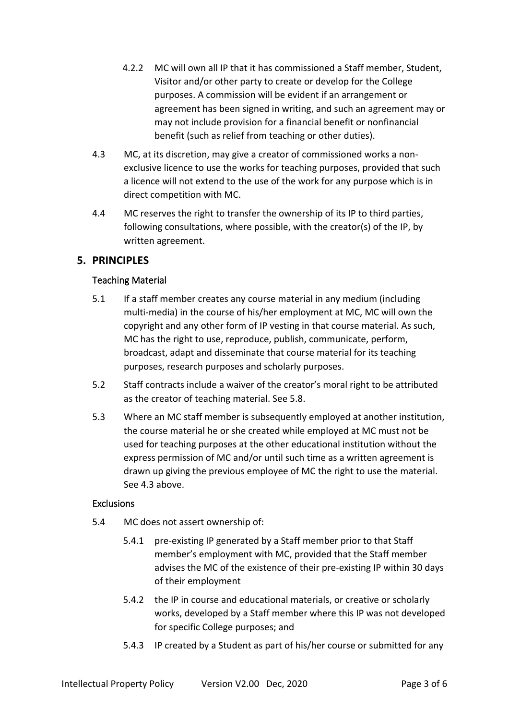- 4.2.2 MC will own all IP that it has commissioned a Staff member, Student, Visitor and/or other party to create or develop for the College purposes. A commission will be evident if an arrangement or agreement has been signed in writing, and such an agreement may or may not include provision for a financial benefit or nonfinancial benefit (such as relief from teaching or other duties).
- 4.3 MC, at its discretion, may give a creator of commissioned works a nonexclusive licence to use the works for teaching purposes, provided that such a licence will not extend to the use of the work for any purpose which is in direct competition with MC.
- 4.4 MC reserves the right to transfer the ownership of its IP to third parties, following consultations, where possible, with the creator(s) of the IP, by written agreement.

## **5. PRINCIPLES**

## Teaching Material

- 5.1 If a staff member creates any course material in any medium (including multi-media) in the course of his/her employment at MC, MC will own the copyright and any other form of IP vesting in that course material. As such, MC has the right to use, reproduce, publish, communicate, perform, broadcast, adapt and disseminate that course material for its teaching purposes, research purposes and scholarly purposes.
- 5.2 Staff contracts include a waiver of the creator's moral right to be attributed as the creator of teaching material. See 5.8.
- 5.3 Where an MC staff member is subsequently employed at another institution, the course material he or she created while employed at MC must not be used for teaching purposes at the other educational institution without the express permission of MC and/or until such time as a written agreement is drawn up giving the previous employee of MC the right to use the material. See 4.3 above.

## **Exclusions**

- 5.4 MC does not assert ownership of:
	- 5.4.1 pre-existing IP generated by a Staff member prior to that Staff member's employment with MC, provided that the Staff member advises the MC of the existence of their pre-existing IP within 30 days of their employment
	- 5.4.2 the IP in course and educational materials, or creative or scholarly works, developed by a Staff member where this IP was not developed for specific College purposes; and
	- 5.4.3 IP created by a Student as part of his/her course or submitted for any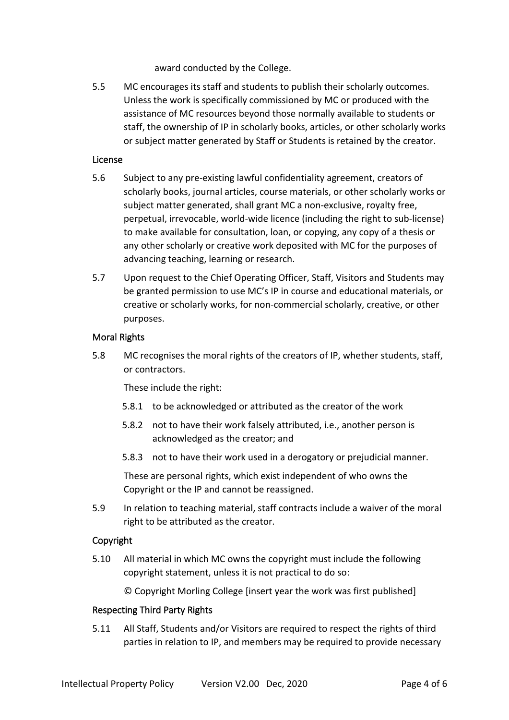award conducted by the College.

5.5 MC encourages its staff and students to publish their scholarly outcomes. Unless the work is specifically commissioned by MC or produced with the assistance of MC resources beyond those normally available to students or staff, the ownership of IP in scholarly books, articles, or other scholarly works or subject matter generated by Staff or Students is retained by the creator.

#### License

- 5.6 Subject to any pre-existing lawful confidentiality agreement, creators of scholarly books, journal articles, course materials, or other scholarly works or subject matter generated, shall grant MC a non-exclusive, royalty free, perpetual, irrevocable, world-wide licence (including the right to sub-license) to make available for consultation, loan, or copying, any copy of a thesis or any other scholarly or creative work deposited with MC for the purposes of advancing teaching, learning or research.
- 5.7 Upon request to the Chief Operating Officer, Staff, Visitors and Students may be granted permission to use MC's IP in course and educational materials, or creative or scholarly works, for non-commercial scholarly, creative, or other purposes.

## Moral Rights

5.8 MC recognises the moral rights of the creators of IP, whether students, staff, or contractors.

These include the right:

- 5.8.1 to be acknowledged or attributed as the creator of the work
- 5.8.2 not to have their work falsely attributed, i.e., another person is acknowledged as the creator; and
- 5.8.3 not to have their work used in a derogatory or prejudicial manner.

These are personal rights, which exist independent of who owns the Copyright or the IP and cannot be reassigned.

5.9 In relation to teaching material, staff contracts include a waiver of the moral right to be attributed as the creator.

## Copyright

5.10 All material in which MC owns the copyright must include the following copyright statement, unless it is not practical to do so:

© Copyright Morling College [insert year the work was first published]

#### Respecting Third Party Rights

5.11 All Staff, Students and/or Visitors are required to respect the rights of third parties in relation to IP, and members may be required to provide necessary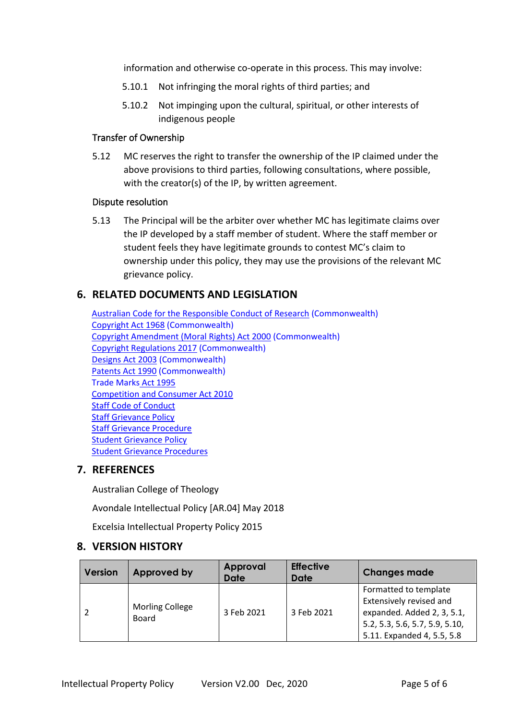information and otherwise co-operate in this process. This may involve:

- 5.10.1 Not infringing the moral rights of third parties; and
- 5.10.2 Not impinging upon the cultural, spiritual, or other interests of indigenous people

#### Transfer of Ownership

5.12 MC reserves the right to transfer the ownership of the IP claimed under the above provisions to third parties, following consultations, where possible, with the creator(s) of the IP, by written agreement.

#### Dispute resolution

5.13 The Principal will be the arbiter over whether MC has legitimate claims over the IP developed by a staff member of student. Where the staff member or student feels they have legitimate grounds to contest MC's claim to ownership under this policy, they may use the provisions of the relevant MC grievance policy.

## **6. RELATED DOCUMENTS AND LEGISLATION**

[Australian Code for the Responsible Conduct of Research](https://www.nhmrc.gov.au/about-us/publications/australian-code-responsible-conduct-research-2018) (Commonwealth) [Copyright Act 1968](https://www.legislation.gov.au/Details/C2019C00042) (Commonwealth) [Copyright Amendment \(Moral Rights\) Act 2000](https://www.legislation.gov.au/Details/C2004A00752) (Commonwealth) [Copyright Regulations 2017](https://www.legislation.gov.au/Details/F2019C00032) (Commonwealth) [Designs Act 2003](https://www.legislation.gov.au/Details/C2020C00094) (Commonwealth) [Patents Act 1990](file:///G:/My%20Drive/Policies%20working%20docs/2020%20Policies%20to%20be%20approved/2019%20IP%20Policy/Patents%20Act%201990) (Commonwealth) [Trade Marks](https://www.legislation.gov.au/Details/C2020C00103) Act 1995 [Competition and Consumer Act 2010](https://www.legislation.gov.au/Details/C2020C00079) [Staff Code of Conduct](https://www.morling.edu.au/module_resources/uploads/POLICIES/Student%20Code%20of%20Conduct%20Policy%202018.pdf) [Staff Grievance Policy](https://www.morling.edu.au/module_resources/uploads/POLICIES/Student%20Code%20of%20Conduct%20Policy%202018.pdf) [Staff Grievance Procedure](https://www.morling.edu.au/module_resources/uploads/POLIhttps:/www.morling.edu.au/module_resources/uploads/POLICIES/Staff%20Grievance%20Procedure%20V1.1%20June%202019.pdf)  [Student Grievance Policy](https://www.morling.edu.au/module_resources/uploads/POLICIES/Staff%20Grievance%20Policy%20V4.1%20April%202019.pdf) [Student Grievance Procedures](https://www.morling.edu.au/module_resources/uploads/POLICIES/Staff%20Grievance%20Procedure%20V1.1%20June%202019.pdf)

## **7. REFERENCES**

Australian College of Theology

Avondale Intellectual Policy [AR.04] May 2018

Excelsia Intellectual Property Policy 2015

## **8. VERSION HISTORY**

| <b>Version</b> | <b>Approved by</b>                     | Approval<br><b>Date</b> | <b>Effective</b><br>Date | <b>Changes made</b>                                                                                                                            |
|----------------|----------------------------------------|-------------------------|--------------------------|------------------------------------------------------------------------------------------------------------------------------------------------|
|                | <b>Morling College</b><br><b>Board</b> | 3 Feb 2021              | 3 Feb 2021               | Formatted to template<br>Extensively revised and<br>expanded. Added 2, 3, 5.1,<br>5.2, 5.3, 5.6, 5.7, 5.9, 5.10,<br>5.11. Expanded 4, 5.5, 5.8 |